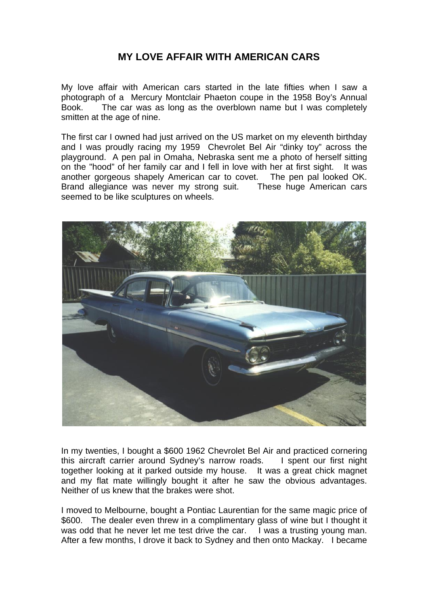## **MY LOVE AFFAIR WITH AMERICAN CARS**

My love affair with American cars started in the late fifties when I saw a photograph of a Mercury Montclair Phaeton coupe in the 1958 Boy's Annual Book. The car was as long as the overblown name but I was completely smitten at the age of nine.

The first car I owned had just arrived on the US market on my eleventh birthday and I was proudly racing my 1959 Chevrolet Bel Air "dinky toy" across the playground. A pen pal in Omaha, Nebraska sent me a photo of herself sitting on the "hood" of her family car and I fell in love with her at first sight. It was another gorgeous shapely American car to covet. The pen pal looked OK. Brand allegiance was never my strong suit. These huge American cars seemed to be like sculptures on wheels.



In my twenties, I bought a \$600 1962 Chevrolet Bel Air and practiced cornering this aircraft carrier around Sydney's narrow roads. I spent our first night together looking at it parked outside my house. It was a great chick magnet and my flat mate willingly bought it after he saw the obvious advantages. Neither of us knew that the brakes were shot.

I moved to Melbourne, bought a Pontiac Laurentian for the same magic price of \$600. The dealer even threw in a complimentary glass of wine but I thought it was odd that he never let me test drive the car. I was a trusting young man. After a few months, I drove it back to Sydney and then onto Mackay. I became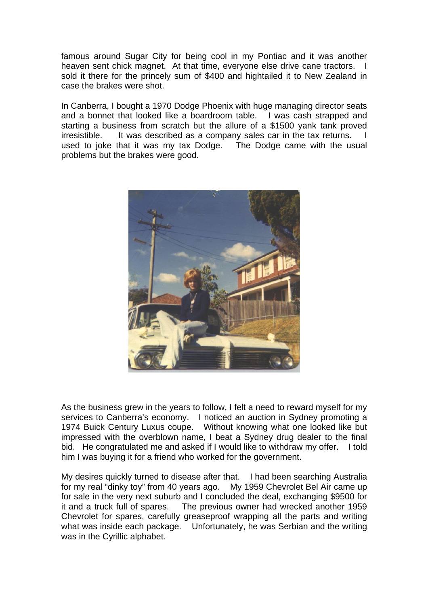famous around Sugar City for being cool in my Pontiac and it was another heaven sent chick magnet. At that time, everyone else drive cane tractors. I sold it there for the princely sum of \$400 and hightailed it to New Zealand in case the brakes were shot.

In Canberra, I bought a 1970 Dodge Phoenix with huge managing director seats and a bonnet that looked like a boardroom table. I was cash strapped and starting a business from scratch but the allure of a \$1500 yank tank proved irresistible. It was described as a company sales car in the tax returns. used to joke that it was my tax Dodge. The Dodge came with the usual problems but the brakes were good.



As the business grew in the years to follow, I felt a need to reward myself for my services to Canberra's economy. I noticed an auction in Sydney promoting a 1974 Buick Century Luxus coupe. Without knowing what one looked like but impressed with the overblown name, I beat a Sydney drug dealer to the final bid. He congratulated me and asked if I would like to withdraw my offer. I told him I was buying it for a friend who worked for the government.

My desires quickly turned to disease after that. I had been searching Australia for my real "dinky toy" from 40 years ago. My 1959 Chevrolet Bel Air came up for sale in the very next suburb and I concluded the deal, exchanging \$9500 for it and a truck full of spares. The previous owner had wrecked another 1959 Chevrolet for spares, carefully greaseproof wrapping all the parts and writing what was inside each package. Unfortunately, he was Serbian and the writing was in the Cyrillic alphabet.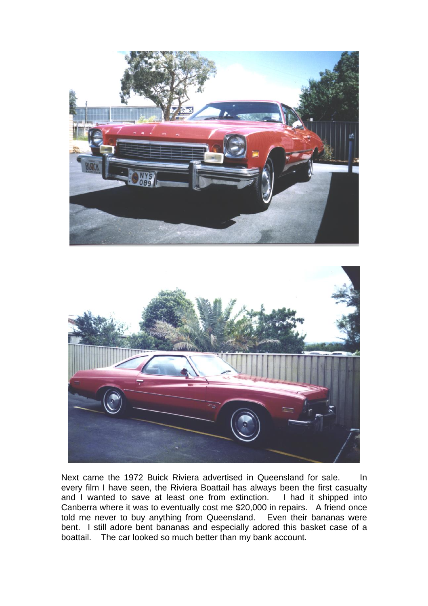



Next came the 1972 Buick Riviera advertised in Queensland for sale. In every film I have seen, the Riviera Boattail has always been the first casualty and I wanted to save at least one from extinction. I had it shipped into Canberra where it was to eventually cost me \$20,000 in repairs. A friend once told me never to buy anything from Queensland. Even their bananas were bent. I still adore bent bananas and especially adored this basket case of a boattail. The car looked so much better than my bank account.